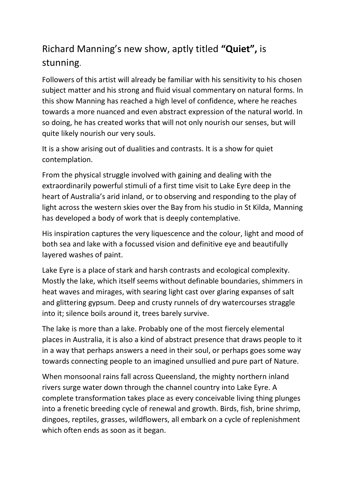## Richard Manning's new show, aptly titled **"Quiet",** is stunning.

Followers of this artist will already be familiar with his sensitivity to his chosen subject matter and his strong and fluid visual commentary on natural forms. In this show Manning has reached a high level of confidence, where he reaches towards a more nuanced and even abstract expression of the natural world. In so doing, he has created works that will not only nourish our senses, but will quite likely nourish our very souls.

It is a show arising out of dualities and contrasts. It is a show for quiet contemplation.

From the physical struggle involved with gaining and dealing with the extraordinarily powerful stimuli of a first time visit to Lake Eyre deep in the heart of Australia's arid inland, or to observing and responding to the play of light across the western skies over the Bay from his studio in St Kilda, Manning has developed a body of work that is deeply contemplative.

His inspiration captures the very liquescence and the colour, light and mood of both sea and lake with a focussed vision and definitive eye and beautifully layered washes of paint.

Lake Eyre is a place of stark and harsh contrasts and ecological complexity. Mostly the lake, which itself seems without definable boundaries, shimmers in heat waves and mirages, with searing light cast over glaring expanses of salt and glittering gypsum. Deep and crusty runnels of dry watercourses straggle into it; silence boils around it, trees barely survive.

The lake is more than a lake. Probably one of the most fiercely elemental places in Australia, it is also a kind of abstract presence that draws people to it in a way that perhaps answers a need in their soul, or perhaps goes some way towards connecting people to an imagined unsullied and pure part of Nature.

When monsoonal rains fall across Queensland, the mighty northern inland rivers surge water down through the channel country into Lake Eyre. A complete transformation takes place as every conceivable living thing plunges into a frenetic breeding cycle of renewal and growth. Birds, fish, brine shrimp, dingoes, reptiles, grasses, wildflowers, all embark on a cycle of replenishment which often ends as soon as it began.